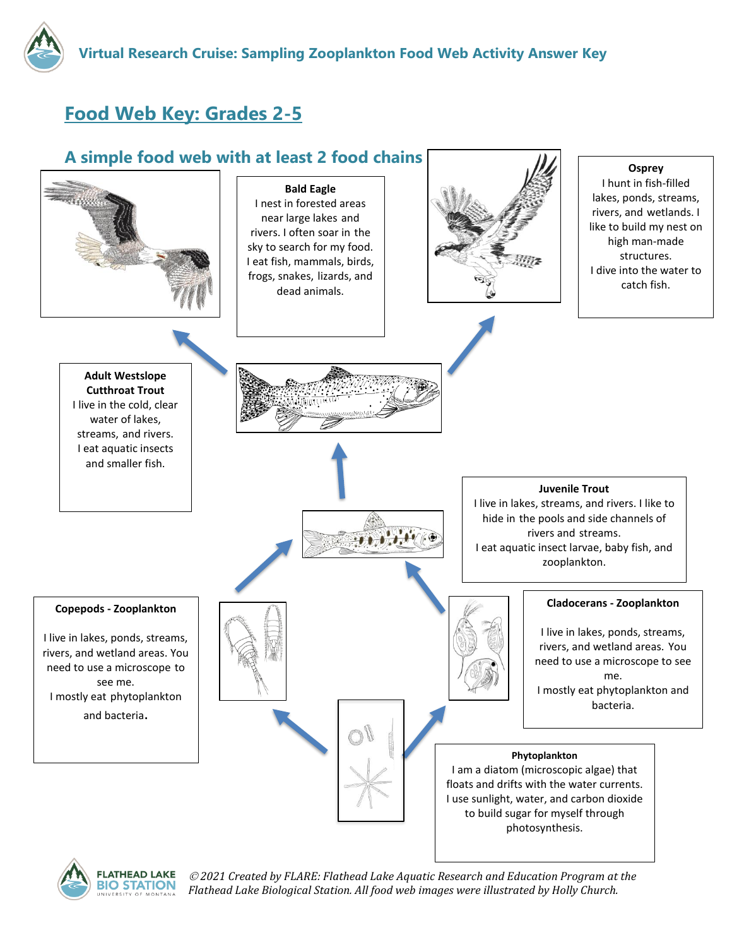

## **Food Web Key: Grades 2-5**





 *2021 Created by FLARE: Flathead Lake Aquatic Research and Education Program at the Flathead Lake Biological Station. All food web images were illustrated by Holly Church.*